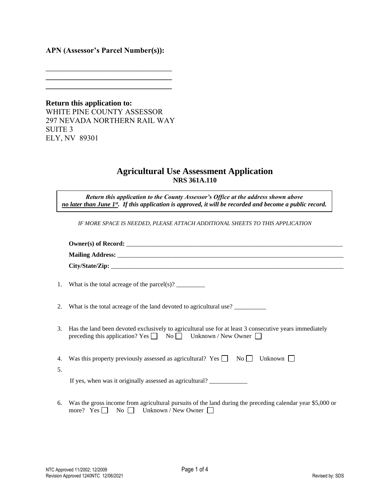## **APN (Assessor's Parcel Number(s)):**

\_\_\_\_\_\_\_\_\_\_\_\_\_\_\_\_\_\_\_\_\_\_\_\_\_\_\_\_\_\_\_\_\_ **\_\_\_\_\_\_\_\_\_\_\_\_\_\_\_\_\_\_\_\_\_\_\_\_\_\_\_\_\_\_\_\_\_ \_\_\_\_\_\_\_\_\_\_\_\_\_\_\_\_\_\_\_\_\_\_\_\_\_\_\_\_\_\_\_\_\_** 

**Return this application to:**  WHITE PINE COUNTY ASSESSOR 297 NEVADA NORTHERN RAIL WAY SUITE 3 ELY, NV 89301

## **Agricultural Use Assessment Application NRS 361A.110**

*Return this application to the County Assessor's Office at the address shown above no later than June 1st . If this application is approved, it will be recorded and become a public record.*

*IF MORE SPACE IS NEEDED, PLEASE ATTACH ADDITIONAL SHEETS TO THIS APPLICATION* 

|    | 1. What is the total acreage of the parcel(s)? $\frac{1}{\sqrt{2}}$                                                                                                                      |
|----|------------------------------------------------------------------------------------------------------------------------------------------------------------------------------------------|
|    | 2. What is the total acreage of the land devoted to agricultural use?                                                                                                                    |
|    | 3. Has the land been devoted exclusively to agricultural use for at least 3 consecutive years immediately<br>preceding this application? Yes $\Box$ No $\Box$ Unknown / New Owner $\Box$ |
| 5. | 4. Was this property previously assessed as agricultural? Yes $\Box$ No $\Box$ Unknown $\Box$                                                                                            |
|    | If yes, when was it originally assessed as agricultural? _______________________                                                                                                         |
|    | 6. Was the gross income from agricultural pursuits of the land during the preceding calendar year \$5,000 or<br>more? Yes $\Box$ No $\Box$ Unknown / New Owner $\Box$                    |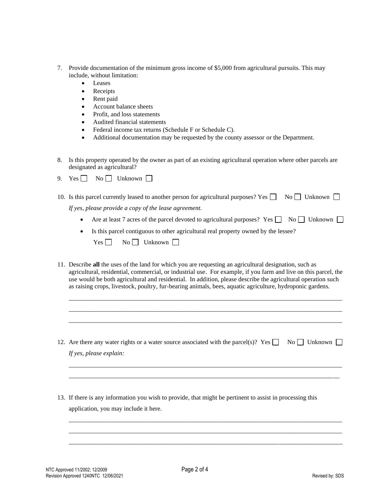- 7. Provide documentation of the minimum gross income of \$5,000 from agricultural pursuits. This may include, without limitation:
	- Leases
	- Receipts
	- Rent paid
	- Account balance sheets
	- Profit, and loss statements
	- Audited financial statements
	- Federal income tax returns (Schedule F or Schedule C).
	- Additional documentation may be requested by the county assessor or the Department.
- 8. Is this property operated by the owner as part of an existing agricultural operation where other parcels are designated as agricultural?
- 9. Yes  $\Box$  No  $\Box$  Unknown  $\Box$

| 10. Is this parcel currently leased to another person for agricultural purposes? Yes $\Box$ No $\Box$ Unknown $\Box$ |  |
|----------------------------------------------------------------------------------------------------------------------|--|
| If yes, please provide a copy of the lease agreement.                                                                |  |

- Are at least 7 acres of the parcel devoted to agricultural purposes? Yes  $\Box$  No  $\Box$  Unknown  $\Box$
- Is this parcel contiguous to other agricultural real property owned by the lessee?

| Yes | No l | Unknown |  |
|-----|------|---------|--|
|     |      |         |  |

11. Describe **all** the uses of the land for which you are requesting an agricultural designation, such as agricultural, residential, commercial, or industrial use. For example, if you farm and live on this parcel, the use would be both agricultural and residential. In addition, please describe the agricultural operation such as raising crops, livestock, poultry, fur-bearing animals, bees, aquatic agriculture, hydroponic gardens.

\_\_\_\_\_\_\_\_\_\_\_\_\_\_\_\_\_\_\_\_\_\_\_\_\_\_\_\_\_\_\_\_\_\_\_\_\_\_\_\_\_\_\_\_\_\_\_\_\_\_\_\_\_\_\_\_\_\_\_\_\_\_\_\_\_\_\_\_\_\_\_\_\_\_\_\_\_\_\_\_\_\_\_\_\_\_ \_\_\_\_\_\_\_\_\_\_\_\_\_\_\_\_\_\_\_\_\_\_\_\_\_\_\_\_\_\_\_\_\_\_\_\_\_\_\_\_\_\_\_\_\_\_\_\_\_\_\_\_\_\_\_\_\_\_\_\_\_\_\_\_\_\_\_\_\_\_\_\_\_\_\_\_\_\_\_\_\_\_\_\_\_\_ \_\_\_\_\_\_\_\_\_\_\_\_\_\_\_\_\_\_\_\_\_\_\_\_\_\_\_\_\_\_\_\_\_\_\_\_\_\_\_\_\_\_\_\_\_\_\_\_\_\_\_\_\_\_\_\_\_\_\_\_\_\_\_\_\_\_\_\_\_\_\_\_\_\_\_\_\_\_\_\_\_\_\_\_\_\_

12. Are there any water rights or a water source associated with the parcel(s)? Yes  $\Box$  No  $\Box$  Unknown  $\Box$ *If yes, please explain:*

*\_\_\_\_\_\_\_\_\_\_\_\_\_\_\_\_\_\_\_\_\_\_\_\_\_\_\_\_\_\_\_\_\_\_\_\_\_\_\_\_\_\_\_\_\_\_\_\_\_\_\_\_\_\_\_\_\_\_\_\_\_\_\_\_\_\_\_\_\_\_\_\_\_\_\_\_\_\_\_\_\_\_\_\_\_\_ \_\_\_\_\_\_\_\_\_\_\_\_\_\_\_\_\_\_\_\_\_\_\_\_\_\_\_\_\_\_\_\_\_\_\_\_\_\_\_\_\_\_\_\_\_\_\_\_\_\_\_\_\_\_\_\_\_\_\_\_\_\_\_\_\_\_\_\_\_\_\_\_\_\_\_\_\_\_\_\_\_\_\_\_\_*

\_\_\_\_\_\_\_\_\_\_\_\_\_\_\_\_\_\_\_\_\_\_\_\_\_\_\_\_\_\_\_\_\_\_\_\_\_\_\_\_\_\_\_\_\_\_\_\_\_\_\_\_\_\_\_\_\_\_\_\_\_\_\_\_\_\_\_\_\_\_\_\_\_\_\_\_\_\_\_\_\_\_\_\_\_\_ \_\_\_\_\_\_\_\_\_\_\_\_\_\_\_\_\_\_\_\_\_\_\_\_\_\_\_\_\_\_\_\_\_\_\_\_\_\_\_\_\_\_\_\_\_\_\_\_\_\_\_\_\_\_\_\_\_\_\_\_\_\_\_\_\_\_\_\_\_\_\_\_\_\_\_\_\_\_\_\_\_\_\_\_\_\_ \_\_\_\_\_\_\_\_\_\_\_\_\_\_\_\_\_\_\_\_\_\_\_\_\_\_\_\_\_\_\_\_\_\_\_\_\_\_\_\_\_\_\_\_\_\_\_\_\_\_\_\_\_\_\_\_\_\_\_\_\_\_\_\_\_\_\_\_\_\_\_\_\_\_\_\_\_\_\_\_\_\_\_\_\_\_

13. If there is any information you wish to provide, that might be pertinent to assist in processing this application, you may include it here.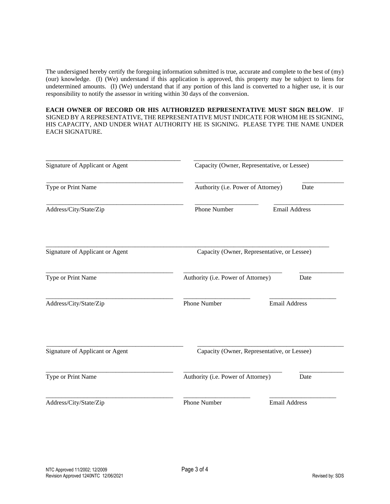The undersigned hereby certify the foregoing information submitted is true, accurate and complete to the best of (my) (our) knowledge. (I) (We) understand if this application is approved, this property may be subject to liens for undetermined amounts. (I) (We) understand that if any portion of this land is converted to a higher use, it is our responsibility to notify the assessor in writing within 30 days of the conversion.

**EACH OWNER OF RECORD OR HIS AUTHORIZED REPRESENTATIVE MUST SIGN BELOW**. IF SIGNED BY A REPRESENTATIVE, THE REPRESENTATIVE MUST INDICATE FOR WHOM HE IS SIGNING, HIS CAPACITY, AND UNDER WHAT AUTHORITY HE IS SIGNING. PLEASE TYPE THE NAME UNDER EACH SIGNATURE.

| Signature of Applicant or Agent | Capacity (Owner, Representative, or Lessee) |                      |  |
|---------------------------------|---------------------------------------------|----------------------|--|
| Type or Print Name              | Authority (i.e. Power of Attorney)          | Date                 |  |
| Address/City/State/Zip          | Phone Number                                | <b>Email Address</b> |  |
| Signature of Applicant or Agent | Capacity (Owner, Representative, or Lessee) |                      |  |
| Type or Print Name              | Authority (i.e. Power of Attorney)          | Date                 |  |
| Address/City/State/Zip          | <b>Phone Number</b>                         | <b>Email Address</b> |  |
| Signature of Applicant or Agent | Capacity (Owner, Representative, or Lessee) |                      |  |
| Type or Print Name              | Authority (i.e. Power of Attorney)          | Date                 |  |
| Address/City/State/Zip          | <b>Phone Number</b>                         | <b>Email Address</b> |  |